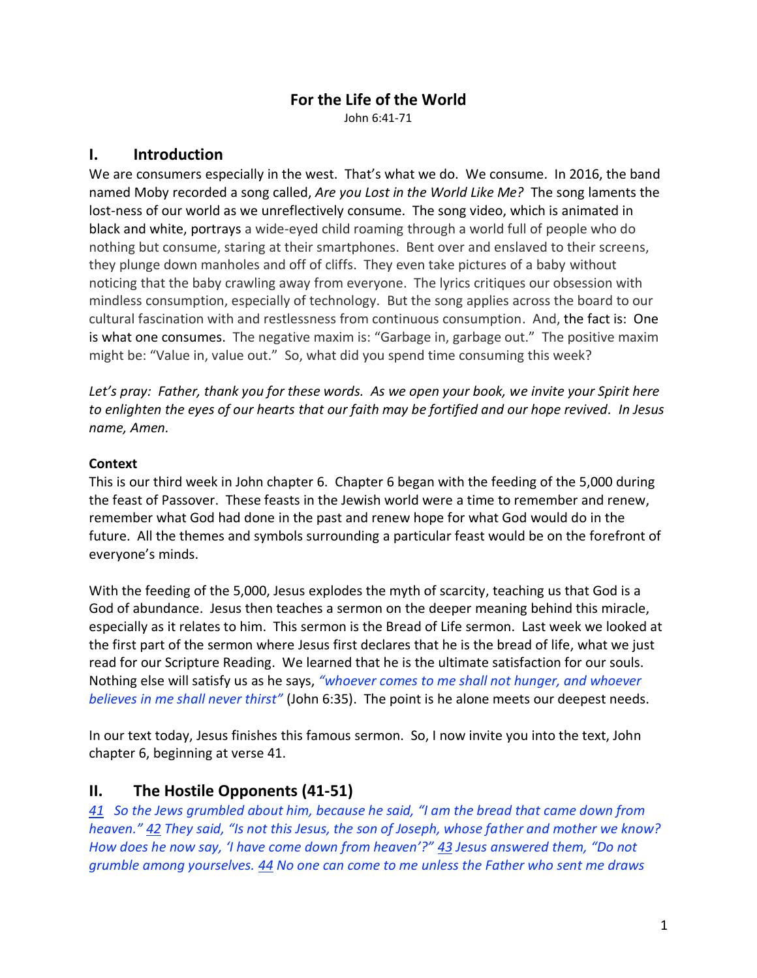# **For the Life of the World**

John 6:41-71

## **I. Introduction**

We are consumers especially in the west. That's what we do. We consume. In 2016, the band named Moby recorded a song called, *Are you Lost in the World Like Me?* The song laments the lost-ness of our world as we unreflectively consume. The song video, which is animated in black and white, portrays a wide-eyed child roaming through a world full of people who do nothing but consume, staring at their smartphones. Bent over and enslaved to their screens, they plunge down manholes and off of cliffs. They even take pictures of a baby without noticing that the baby crawling away from everyone. The lyrics critiques our obsession with mindless consumption, especially of technology. But the song applies across the board to our cultural fascination with and restlessness from continuous consumption. And, the fact is: One is what one consumes. The negative maxim is: "Garbage in, garbage out." The positive maxim might be: "Value in, value out." So, what did you spend time consuming this week?

*Let's pray: Father, thank you for these words. As we open your book, we invite your Spirit here to enlighten the eyes of our hearts that our faith may be fortified and our hope revived. In Jesus name, Amen.*

#### **Context**

This is our third week in John chapter 6. Chapter 6 began with the feeding of the 5,000 during the feast of Passover. These feasts in the Jewish world were a time to remember and renew, remember what God had done in the past and renew hope for what God would do in the future. All the themes and symbols surrounding a particular feast would be on the forefront of everyone's minds.

With the feeding of the 5,000, Jesus explodes the myth of scarcity, teaching us that God is a God of abundance. Jesus then teaches a sermon on the deeper meaning behind this miracle, especially as it relates to him. This sermon is the Bread of Life sermon. Last week we looked at the first part of the sermon where Jesus first declares that he is the bread of life, what we just read for our Scripture Reading. We learned that he is the ultimate satisfaction for our souls. Nothing else will satisfy us as he says, *"whoever comes to me shall not hunger, and whoever believes in me shall never thirst"* (John 6:35). The point is he alone meets our deepest needs.

In our text today, Jesus finishes this famous sermon. So, I now invite you into the text, John chapter 6, beginning at verse 41.

## **II. The Hostile Opponents (41-51)**

*41 So the Jews grumbled about him, because he said, "I am the bread that came down from heaven." 42 They said, "Is not this Jesus, the son of Joseph, whose father and mother we know? How does he now say, 'I have come down from heaven'?" 43 Jesus answered them, "Do not grumble among yourselves. 44 No one can come to me unless the Father who sent me draws*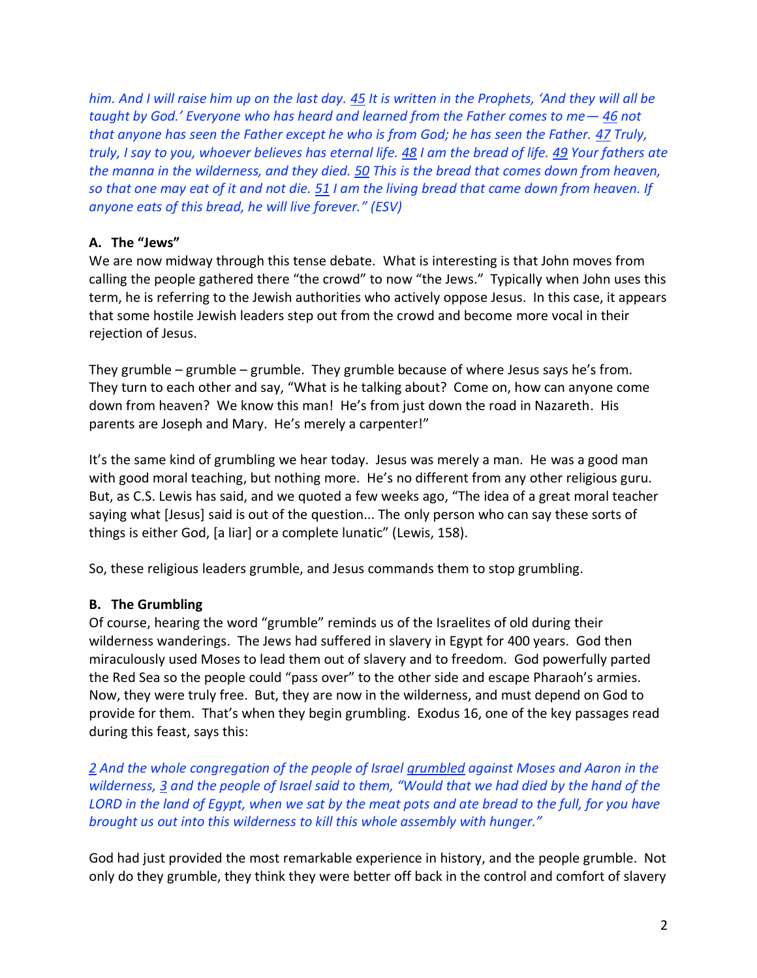*him. And I will raise him up on the last day. 45 It is written in the Prophets, 'And they will all be taught by God.' Everyone who has heard and learned from the Father comes to me— 46 not that anyone has seen the Father except he who is from God; he has seen the Father. 47 Truly, truly, I say to you, whoever believes has eternal life. 48 I am the bread of life. 49 Your fathers ate the manna in the wilderness, and they died. 50 This is the bread that comes down from heaven, so that one may eat of it and not die. 51 I am the living bread that came down from heaven. If anyone eats of this bread, he will live forever." (ESV)*

#### **A. The "Jews"**

We are now midway through this tense debate. What is interesting is that John moves from calling the people gathered there "the crowd" to now "the Jews." Typically when John uses this term, he is referring to the Jewish authorities who actively oppose Jesus. In this case, it appears that some hostile Jewish leaders step out from the crowd and become more vocal in their rejection of Jesus.

They grumble – grumble – grumble. They grumble because of where Jesus says he's from. They turn to each other and say, "What is he talking about? Come on, how can anyone come down from heaven? We know this man! He's from just down the road in Nazareth. His parents are Joseph and Mary. He's merely a carpenter!"

It's the same kind of grumbling we hear today. Jesus was merely a man. He was a good man with good moral teaching, but nothing more. He's no different from any other religious guru. But, as C.S. Lewis has said, and we quoted a few weeks ago, "The idea of a great moral teacher saying what [Jesus] said is out of the question... The only person who can say these sorts of things is either God, [a liar] or a complete lunatic" (Lewis, 158).

So, these religious leaders grumble, and Jesus commands them to stop grumbling.

#### **B. The Grumbling**

Of course, hearing the word "grumble" reminds us of the Israelites of old during their wilderness wanderings. The Jews had suffered in slavery in Egypt for 400 years. God then miraculously used Moses to lead them out of slavery and to freedom. God powerfully parted the Red Sea so the people could "pass over" to the other side and escape Pharaoh's armies. Now, they were truly free. But, they are now in the wilderness, and must depend on God to provide for them. That's when they begin grumbling. Exodus 16, one of the key passages read during this feast, says this:

*2 And the whole congregation of the people of Israel grumbled against Moses and Aaron in the wilderness, 3 and the people of Israel said to them, "Would that we had died by the hand of the LORD in the land of Egypt, when we sat by the meat pots and ate bread to the full, for you have brought us out into this wilderness to kill this whole assembly with hunger."*

God had just provided the most remarkable experience in history, and the people grumble. Not only do they grumble, they think they were better off back in the control and comfort of slavery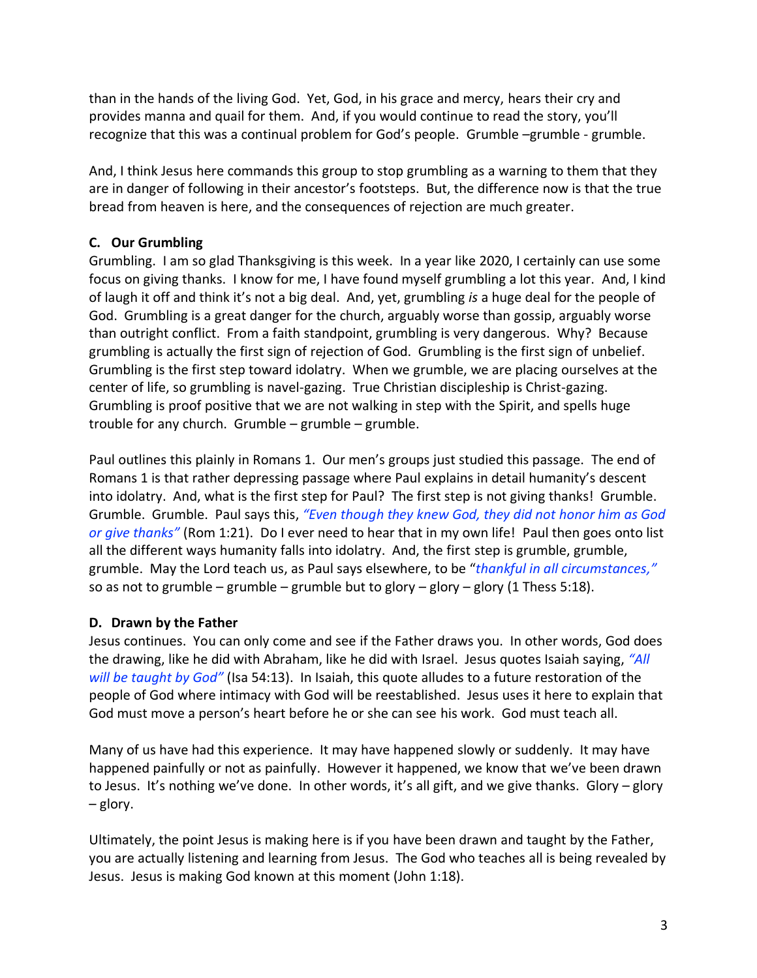than in the hands of the living God. Yet, God, in his grace and mercy, hears their cry and provides manna and quail for them. And, if you would continue to read the story, you'll recognize that this was a continual problem for God's people. Grumble –grumble - grumble.

And, I think Jesus here commands this group to stop grumbling as a warning to them that they are in danger of following in their ancestor's footsteps. But, the difference now is that the true bread from heaven is here, and the consequences of rejection are much greater.

#### **C. Our Grumbling**

Grumbling. I am so glad Thanksgiving is this week. In a year like 2020, I certainly can use some focus on giving thanks. I know for me, I have found myself grumbling a lot this year. And, I kind of laugh it off and think it's not a big deal. And, yet, grumbling *is* a huge deal for the people of God. Grumbling is a great danger for the church, arguably worse than gossip, arguably worse than outright conflict. From a faith standpoint, grumbling is very dangerous. Why? Because grumbling is actually the first sign of rejection of God. Grumbling is the first sign of unbelief. Grumbling is the first step toward idolatry. When we grumble, we are placing ourselves at the center of life, so grumbling is navel-gazing. True Christian discipleship is Christ-gazing. Grumbling is proof positive that we are not walking in step with the Spirit, and spells huge trouble for any church. Grumble – grumble – grumble.

Paul outlines this plainly in Romans 1. Our men's groups just studied this passage. The end of Romans 1 is that rather depressing passage where Paul explains in detail humanity's descent into idolatry. And, what is the first step for Paul? The first step is not giving thanks! Grumble. Grumble. Grumble. Paul says this, *"Even though they knew God, they did not honor him as God or give thanks"* (Rom 1:21). Do I ever need to hear that in my own life! Paul then goes onto list all the different ways humanity falls into idolatry. And, the first step is grumble, grumble, grumble. May the Lord teach us, as Paul says elsewhere, to be "*thankful in all circumstances,"* so as not to grumble – grumble – grumble but to glory – glory – glory (1 Thess 5:18).

#### **D. Drawn by the Father**

Jesus continues. You can only come and see if the Father draws you. In other words, God does the drawing, like he did with Abraham, like he did with Israel. Jesus quotes Isaiah saying, *"All will be taught by God"* (Isa 54:13). In Isaiah, this quote alludes to a future restoration of the people of God where intimacy with God will be reestablished. Jesus uses it here to explain that God must move a person's heart before he or she can see his work. God must teach all.

Many of us have had this experience. It may have happened slowly or suddenly. It may have happened painfully or not as painfully. However it happened, we know that we've been drawn to Jesus. It's nothing we've done. In other words, it's all gift, and we give thanks. Glory – glory – glory.

Ultimately, the point Jesus is making here is if you have been drawn and taught by the Father, you are actually listening and learning from Jesus. The God who teaches all is being revealed by Jesus. Jesus is making God known at this moment (John 1:18).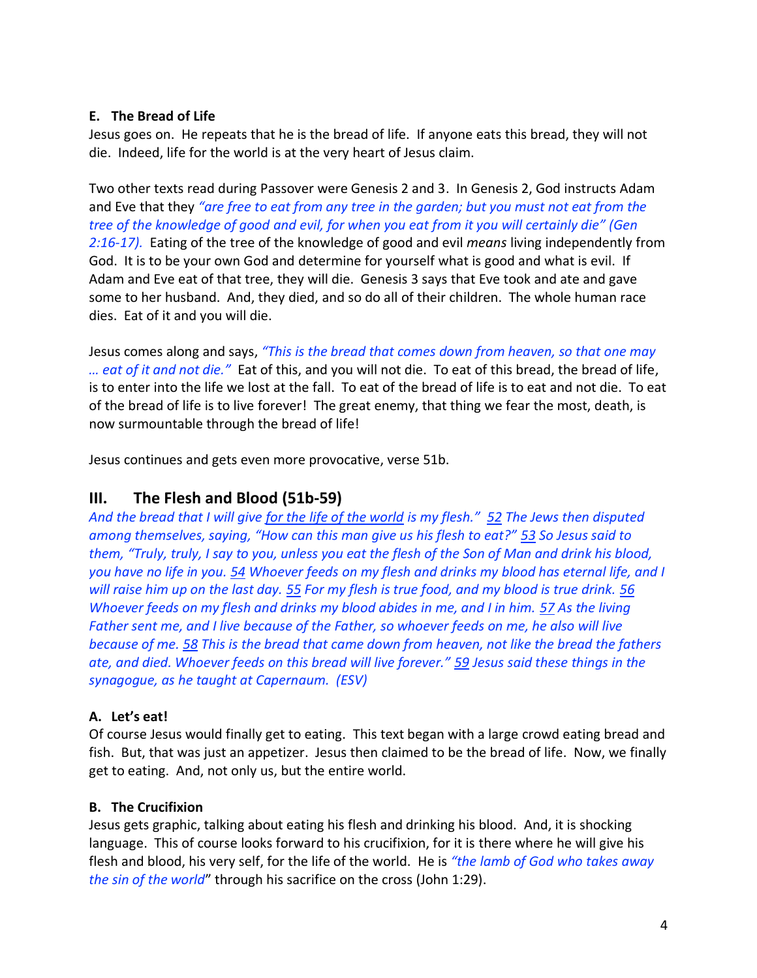#### **E. The Bread of Life**

Jesus goes on. He repeats that he is the bread of life. If anyone eats this bread, they will not die. Indeed, life for the world is at the very heart of Jesus claim.

Two other texts read during Passover were Genesis 2 and 3. In Genesis 2, God instructs Adam and Eve that they *"are free to eat from any tree in the garden; but you must not eat from the tree of the knowledge of good and evil, for when you eat from it you will certainly die" (Gen 2:16-17).* Eating of the tree of the knowledge of good and evil *means* living independently from God. It is to be your own God and determine for yourself what is good and what is evil. If Adam and Eve eat of that tree, they will die. Genesis 3 says that Eve took and ate and gave some to her husband. And, they died, and so do all of their children. The whole human race dies. Eat of it and you will die.

Jesus comes along and says, *"This is the bread that comes down from heaven, so that one may … eat of it and not die."* Eat of this, and you will not die. To eat of this bread, the bread of life, is to enter into the life we lost at the fall. To eat of the bread of life is to eat and not die. To eat of the bread of life is to live forever! The great enemy, that thing we fear the most, death, is now surmountable through the bread of life!

Jesus continues and gets even more provocative, verse 51b.

# **III. The Flesh and Blood (51b-59)**

*And the bread that I will give for the life of the world is my flesh." 52 The Jews then disputed among themselves, saying, "How can this man give us his flesh to eat?" 53 So Jesus said to them, "Truly, truly, I say to you, unless you eat the flesh of the Son of Man and drink his blood, you have no life in you. 54 Whoever feeds on my flesh and drinks my blood has eternal life, and I will raise him up on the last day. 55 For my flesh is true food, and my blood is true drink. 56 Whoever feeds on my flesh and drinks my blood abides in me, and I in him. 57 As the living Father sent me, and I live because of the Father, so whoever feeds on me, he also will live because of me. 58 This is the bread that came down from heaven, not like the bread the fathers ate, and died. Whoever feeds on this bread will live forever." 59 Jesus said these things in the synagogue, as he taught at Capernaum. (ESV)*

## **A. Let's eat!**

Of course Jesus would finally get to eating. This text began with a large crowd eating bread and fish. But, that was just an appetizer. Jesus then claimed to be the bread of life. Now, we finally get to eating. And, not only us, but the entire world.

#### **B. The Crucifixion**

Jesus gets graphic, talking about eating his flesh and drinking his blood. And, it is shocking language. This of course looks forward to his crucifixion, for it is there where he will give his flesh and blood, his very self, for the life of the world. He is *"the lamb of God who takes away the sin of the world*" through his sacrifice on the cross (John 1:29).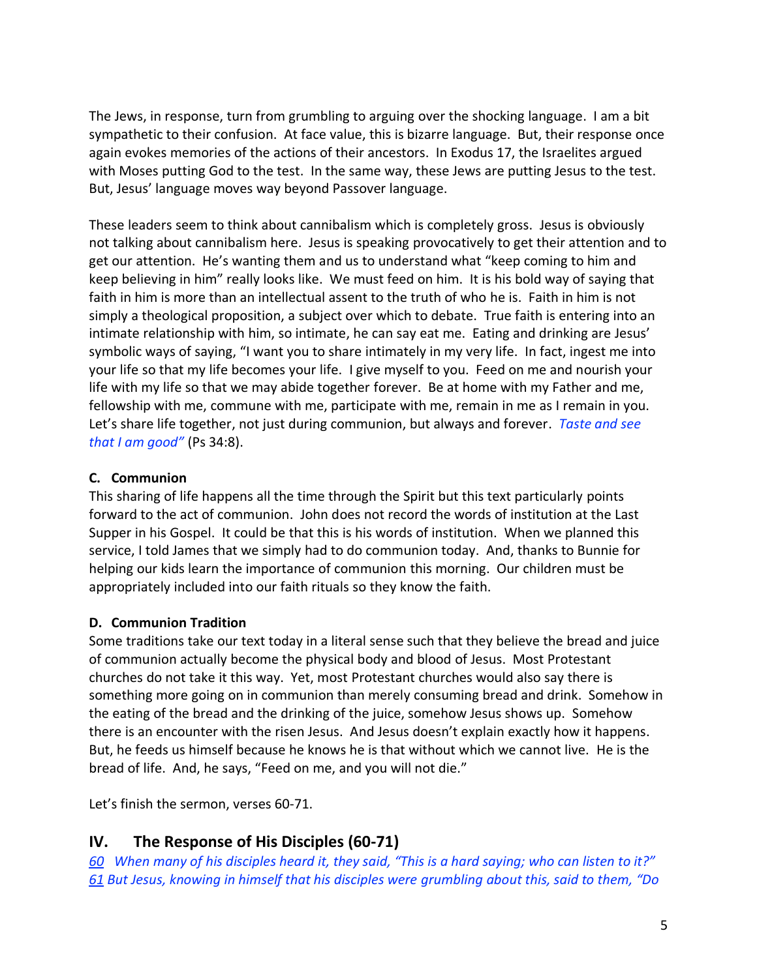The Jews, in response, turn from grumbling to arguing over the shocking language. I am a bit sympathetic to their confusion. At face value, this is bizarre language. But, their response once again evokes memories of the actions of their ancestors. In Exodus 17, the Israelites argued with Moses putting God to the test. In the same way, these Jews are putting Jesus to the test. But, Jesus' language moves way beyond Passover language.

These leaders seem to think about cannibalism which is completely gross. Jesus is obviously not talking about cannibalism here. Jesus is speaking provocatively to get their attention and to get our attention. He's wanting them and us to understand what "keep coming to him and keep believing in him" really looks like. We must feed on him. It is his bold way of saying that faith in him is more than an intellectual assent to the truth of who he is. Faith in him is not simply a theological proposition, a subject over which to debate. True faith is entering into an intimate relationship with him, so intimate, he can say eat me. Eating and drinking are Jesus' symbolic ways of saying, "I want you to share intimately in my very life. In fact, ingest me into your life so that my life becomes your life. I give myself to you. Feed on me and nourish your life with my life so that we may abide together forever. Be at home with my Father and me, fellowship with me, commune with me, participate with me, remain in me as I remain in you. Let's share life together, not just during communion, but always and forever. *Taste and see that I am good"* (Ps 34:8).

#### **C. Communion**

This sharing of life happens all the time through the Spirit but this text particularly points forward to the act of communion. John does not record the words of institution at the Last Supper in his Gospel. It could be that this is his words of institution. When we planned this service, I told James that we simply had to do communion today. And, thanks to Bunnie for helping our kids learn the importance of communion this morning. Our children must be appropriately included into our faith rituals so they know the faith.

## **D. Communion Tradition**

Some traditions take our text today in a literal sense such that they believe the bread and juice of communion actually become the physical body and blood of Jesus. Most Protestant churches do not take it this way. Yet, most Protestant churches would also say there is something more going on in communion than merely consuming bread and drink. Somehow in the eating of the bread and the drinking of the juice, somehow Jesus shows up. Somehow there is an encounter with the risen Jesus. And Jesus doesn't explain exactly how it happens. But, he feeds us himself because he knows he is that without which we cannot live. He is the bread of life. And, he says, "Feed on me, and you will not die."

Let's finish the sermon, verses 60-71.

# **IV. The Response of His Disciples (60-71)**

*60 When many of his disciples heard it, they said, "This is a hard saying; who can listen to it?" 61 But Jesus, knowing in himself that his disciples were grumbling about this, said to them, "Do*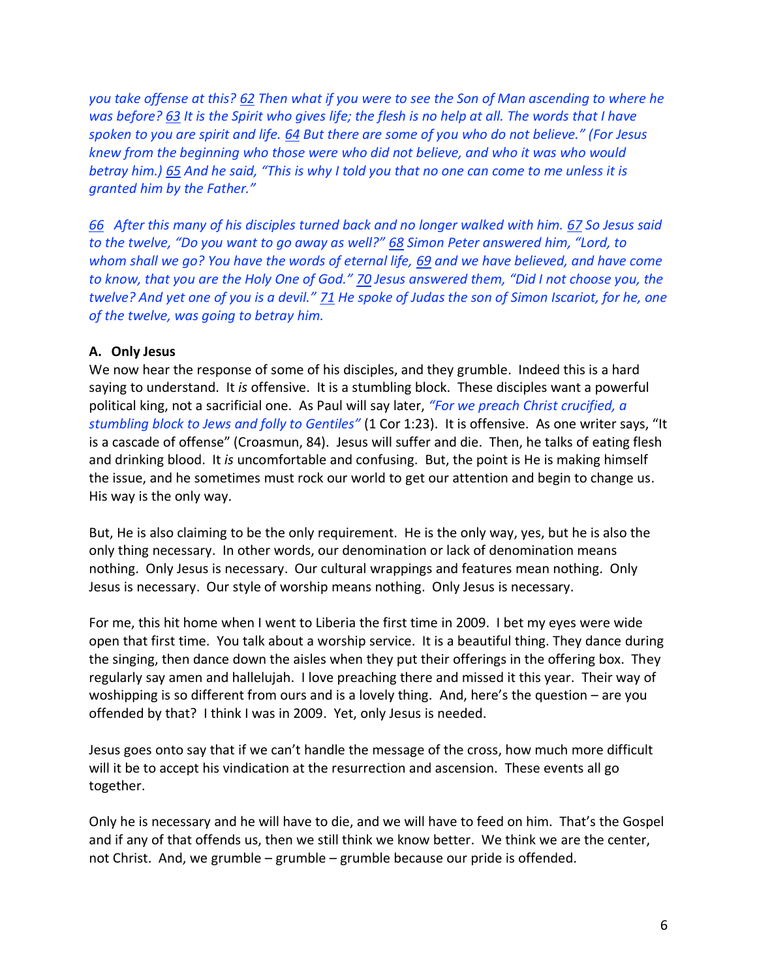*you take offense at this? 62 Then what if you were to see the Son of Man ascending to where he was before? 63 It is the Spirit who gives life; the flesh is no help at all. The words that I have spoken to you are spirit and life. 64 But there are some of you who do not believe." (For Jesus knew from the beginning who those were who did not believe, and who it was who would betray him.) 65 And he said, "This is why I told you that no one can come to me unless it is granted him by the Father."*

*66 After this many of his disciples turned back and no longer walked with him. 67 So Jesus said to the twelve, "Do you want to go away as well?" 68 Simon Peter answered him, "Lord, to whom shall we go? You have the words of eternal life, 69 and we have believed, and have come to know, that you are the Holy One of God." 70 Jesus answered them, "Did I not choose you, the twelve? And yet one of you is a devil." 71 He spoke of Judas the son of Simon Iscariot, for he, one of the twelve, was going to betray him.*

#### **A. Only Jesus**

We now hear the response of some of his disciples, and they grumble. Indeed this is a hard saying to understand. It *is* offensive. It is a stumbling block. These disciples want a powerful political king, not a sacrificial one. As Paul will say later, *"For we preach Christ crucified, a stumbling block to Jews and folly to Gentiles"* (1 Cor 1:23). It is offensive. As one writer says, "It is a cascade of offense" (Croasmun, 84). Jesus will suffer and die. Then, he talks of eating flesh and drinking blood. It *is* uncomfortable and confusing. But, the point is He is making himself the issue, and he sometimes must rock our world to get our attention and begin to change us. His way is the only way.

But, He is also claiming to be the only requirement. He is the only way, yes, but he is also the only thing necessary. In other words, our denomination or lack of denomination means nothing. Only Jesus is necessary. Our cultural wrappings and features mean nothing. Only Jesus is necessary. Our style of worship means nothing. Only Jesus is necessary.

For me, this hit home when I went to Liberia the first time in 2009. I bet my eyes were wide open that first time. You talk about a worship service. It is a beautiful thing. They dance during the singing, then dance down the aisles when they put their offerings in the offering box. They regularly say amen and hallelujah. I love preaching there and missed it this year. Their way of woshipping is so different from ours and is a lovely thing. And, here's the question – are you offended by that? I think I was in 2009. Yet, only Jesus is needed.

Jesus goes onto say that if we can't handle the message of the cross, how much more difficult will it be to accept his vindication at the resurrection and ascension. These events all go together.

Only he is necessary and he will have to die, and we will have to feed on him. That's the Gospel and if any of that offends us, then we still think we know better. We think we are the center, not Christ. And, we grumble – grumble – grumble because our pride is offended.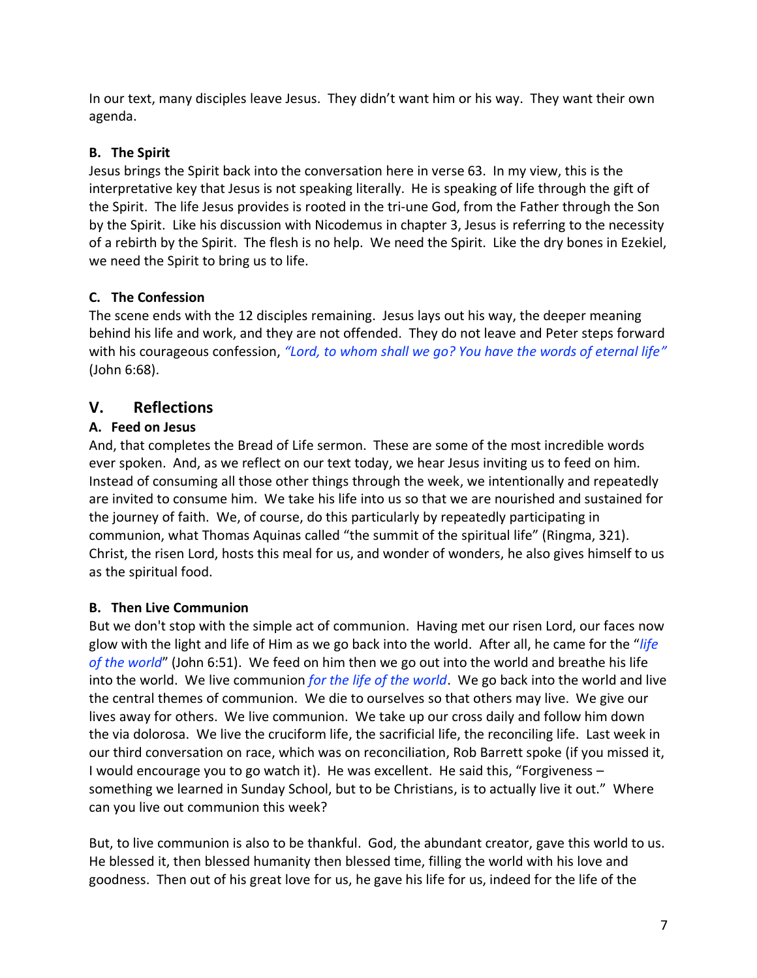In our text, many disciples leave Jesus. They didn't want him or his way. They want their own agenda.

# **B. The Spirit**

Jesus brings the Spirit back into the conversation here in verse 63. In my view, this is the interpretative key that Jesus is not speaking literally. He is speaking of life through the gift of the Spirit. The life Jesus provides is rooted in the tri-une God, from the Father through the Son by the Spirit. Like his discussion with Nicodemus in chapter 3, Jesus is referring to the necessity of a rebirth by the Spirit. The flesh is no help. We need the Spirit. Like the dry bones in Ezekiel, we need the Spirit to bring us to life.

# **C. The Confession**

The scene ends with the 12 disciples remaining. Jesus lays out his way, the deeper meaning behind his life and work, and they are not offended. They do not leave and Peter steps forward with his courageous confession, *"Lord, to whom shall we go? You have the words of eternal life"*  (John 6:68).

# **V. Reflections**

# **A. Feed on Jesus**

And, that completes the Bread of Life sermon. These are some of the most incredible words ever spoken. And, as we reflect on our text today, we hear Jesus inviting us to feed on him. Instead of consuming all those other things through the week, we intentionally and repeatedly are invited to consume him. We take his life into us so that we are nourished and sustained for the journey of faith. We, of course, do this particularly by repeatedly participating in communion, what Thomas Aquinas called "the summit of the spiritual life" (Ringma, 321). Christ, the risen Lord, hosts this meal for us, and wonder of wonders, he also gives himself to us as the spiritual food.

## **B. Then Live Communion**

But we don't stop with the simple act of communion. Having met our risen Lord, our faces now glow with the light and life of Him as we go back into the world. After all, he came for the "*life of the world*" (John 6:51). We feed on him then we go out into the world and breathe his life into the world. We live communion *for the life of the world*. We go back into the world and live the central themes of communion. We die to ourselves so that others may live. We give our lives away for others. We live communion. We take up our cross daily and follow him down the via dolorosa. We live the cruciform life, the sacrificial life, the reconciling life. Last week in our third conversation on race, which was on reconciliation, Rob Barrett spoke (if you missed it, I would encourage you to go watch it). He was excellent. He said this, "Forgiveness – something we learned in Sunday School, but to be Christians, is to actually live it out." Where can you live out communion this week?

But, to live communion is also to be thankful. God, the abundant creator, gave this world to us. He blessed it, then blessed humanity then blessed time, filling the world with his love and goodness. Then out of his great love for us, he gave his life for us, indeed for the life of the